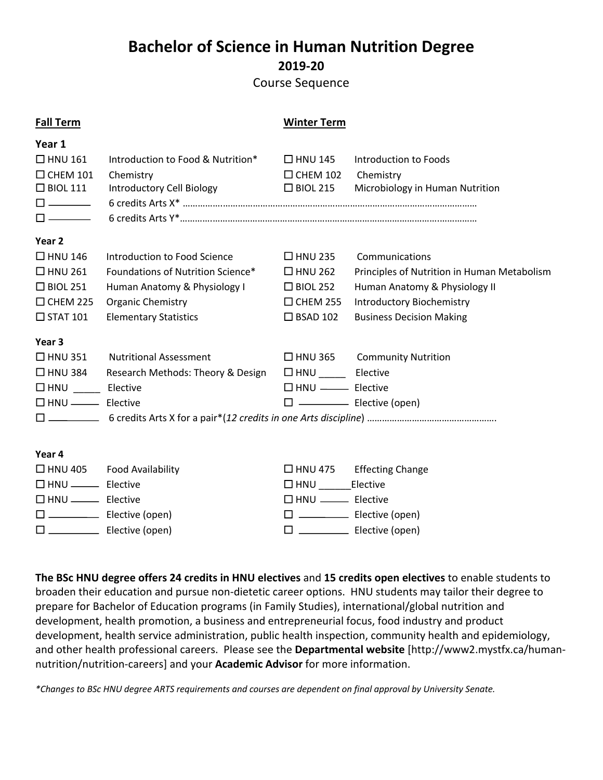## **Bachelor of Science in Human Nutrition Degree 2019-20**

Course Sequence

| <b>Fall Term</b>                |                                   | <b>Winter Term</b>                  |                                             |
|---------------------------------|-----------------------------------|-------------------------------------|---------------------------------------------|
| Year 1                          |                                   |                                     |                                             |
| $\Box$ HNU 161                  | Introduction to Food & Nutrition* | $\Box$ HNU 145                      | Introduction to Foods                       |
| $\Box$ CHEM 101                 | Chemistry                         | $\Box$ CHEM 102                     | Chemistry                                   |
| $\Box$ BIOL 111                 | Introductory Cell Biology         | $\Box$ BIOL 215                     | Microbiology in Human Nutrition             |
| $\square$ $\longrightarrow$     |                                   |                                     |                                             |
| $\square$ $\longrightarrow$     |                                   |                                     |                                             |
| Year 2                          |                                   |                                     |                                             |
| $\Box$ HNU 146                  | Introduction to Food Science      | $\Box$ HNU 235                      | Communications                              |
| $\Box$ HNU 261                  | Foundations of Nutrition Science* | $\Box$ HNU 262                      | Principles of Nutrition in Human Metabolism |
| $\Box$ BIOL 251                 | Human Anatomy & Physiology I      | $\Box$ BIOL 252                     | Human Anatomy & Physiology II               |
| $\Box$ CHEM 225                 | <b>Organic Chemistry</b>          | $\Box$ CHEM 255                     | <b>Introductory Biochemistry</b>            |
| $\Box$ STAT 101                 | <b>Elementary Statistics</b>      | $\Box$ BSAD 102                     | <b>Business Decision Making</b>             |
| Year <sub>3</sub>               |                                   |                                     |                                             |
| $\Box$ HNU 351                  | <b>Nutritional Assessment</b>     |                                     | $\Box$ HNU 365 Community Nutrition          |
| $\Box$ HNU 384                  | Research Methods: Theory & Design | $\Box$ HNU _______________ Elective |                                             |
| $\Box$ HNU _________ Elective   |                                   | $\Box$ HNU $\equiv$ Elective        |                                             |
| $\Box$ HNU $\_\_\_\_\$ Elective |                                   |                                     |                                             |
|                                 |                                   |                                     |                                             |
|                                 |                                   |                                     |                                             |
| Year 4                          |                                   |                                     |                                             |
|                                 | $\Box$ HNU 405 Food Availability  |                                     | $\Box$ HNU 475 Effecting Change             |
|                                 |                                   | $\Box$ HNU Elective                 |                                             |
| $\Box$ HNU $\_\_\_\_\$ Elective |                                   | $\square$ HNU $\_\_\_\_\$ Elective  |                                             |
|                                 | $\square$ Elective (open)         |                                     | $\square$ ________________ Elective (open)  |
|                                 | $\square$ Elective (open)         |                                     |                                             |

**The BSc HNU degree offers 24 credits in HNU electives** and **15 credits open electives** to enable students to broaden their education and pursue non-dietetic career options. HNU students may tailor their degree to prepare for Bachelor of Education programs (in Family Studies), international/global nutrition and development, health promotion, a business and entrepreneurial focus, food industry and product development, health service administration, public health inspection, community health and epidemiology, and other health professional careers. Please see the **Departmental website** [http://www2.mystfx.ca/humannutrition/nutrition-careers] and your **Academic Advisor** for more information.

*\*Changes to BSc HNU degree ARTS requirements and courses are dependent on final approval by University Senate.*